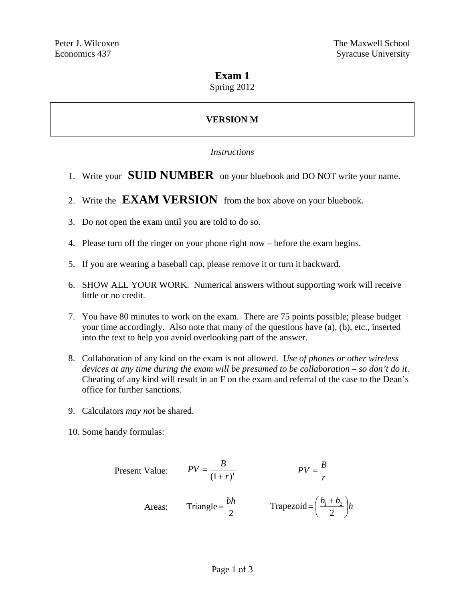## **Exam 1**

Spring 2012

# **VERSION M**

### *Instructions*

- 1. Write your **SUID NUMBER** on your bluebook and DO NOT write your name.
- 2. Write the **EXAM VERSION** from the box above on your bluebook.
- 3. Do not open the exam until you are told to do so.
- 4. Please turn off the ringer on your phone right now before the exam begins.
- 5. If you are wearing a baseball cap, please remove it or turn it backward.
- 6. SHOW ALL YOUR WORK. Numerical answers without supporting work will receive little or no credit.
- 7. You have 80 minutes to work on the exam. There are 75 points possible; please budget your time accordingly. Also note that many of the questions have (a), (b), etc., inserted into the text to help you avoid overlooking part of the answer.
- 8. Collaboration of any kind on the exam is not allowed. *Use of phones or other wireless devices at any time during the exam will be presumed to be collaboration – so don't do it*. Cheating of any kind will result in an F on the exam and referral of the case to the Dean's office for further sanctions.
- 9. Calculators *may not* be shared.
- 10. Some handy formulas:

Present Value: 
$$
PV = \frac{B}{(1+r)^t}
$$
  $PV = \frac{B}{r}$   
Areas: Triangle =  $\frac{bh}{2}$  Trapezoid =  $(\frac{b_1 + b_2}{2})h$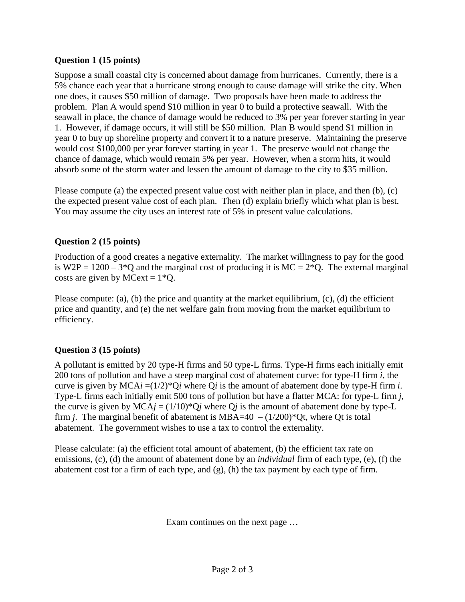### **Question 1 (15 points)**

Suppose a small coastal city is concerned about damage from hurricanes. Currently, there is a 5% chance each year that a hurricane strong enough to cause damage will strike the city. When one does, it causes \$50 million of damage. Two proposals have been made to address the problem. Plan A would spend \$10 million in year 0 to build a protective seawall. With the seawall in place, the chance of damage would be reduced to 3% per year forever starting in year 1. However, if damage occurs, it will still be \$50 million. Plan B would spend \$1 million in year 0 to buy up shoreline property and convert it to a nature preserve. Maintaining the preserve would cost \$100,000 per year forever starting in year 1. The preserve would not change the chance of damage, which would remain 5% per year. However, when a storm hits, it would absorb some of the storm water and lessen the amount of damage to the city to \$35 million.

Please compute (a) the expected present value cost with neither plan in place, and then (b), (c) the expected present value cost of each plan. Then (d) explain briefly which what plan is best. You may assume the city uses an interest rate of 5% in present value calculations.

## **Question 2 (15 points)**

Production of a good creates a negative externality. The market willingness to pay for the good is W2P =  $1200 - 3*Q$  and the marginal cost of producing it is MC =  $2*Q$ . The external marginal costs are given by MCext =  $1*O$ .

Please compute: (a), (b) the price and quantity at the market equilibrium, (c), (d) the efficient price and quantity, and (e) the net welfare gain from moving from the market equilibrium to efficiency.

### **Question 3 (15 points)**

A pollutant is emitted by 20 type-H firms and 50 type-L firms. Type-H firms each initially emit 200 tons of pollution and have a steep marginal cost of abatement curve: for type-H firm *i*, the curve is given by MCA*i* =(1/2)\*Q*i* where Q*i* is the amount of abatement done by type-H firm *i*. Type-L firms each initially emit 500 tons of pollution but have a flatter MCA: for type-L firm *j*, the curve is given by  $MCA$ *j* = (1/10)\*Q*j* where Q*j* is the amount of abatement done by type-L firm *j*. The marginal benefit of abatement is MBA=40 –  $(1/200)$ <sup>\*</sup>Qt, where Qt is total abatement. The government wishes to use a tax to control the externality.

Please calculate: (a) the efficient total amount of abatement, (b) the efficient tax rate on emissions, (c), (d) the amount of abatement done by an *individual* firm of each type, (e), (f) the abatement cost for a firm of each type, and (g), (h) the tax payment by each type of firm.

Exam continues on the next page …